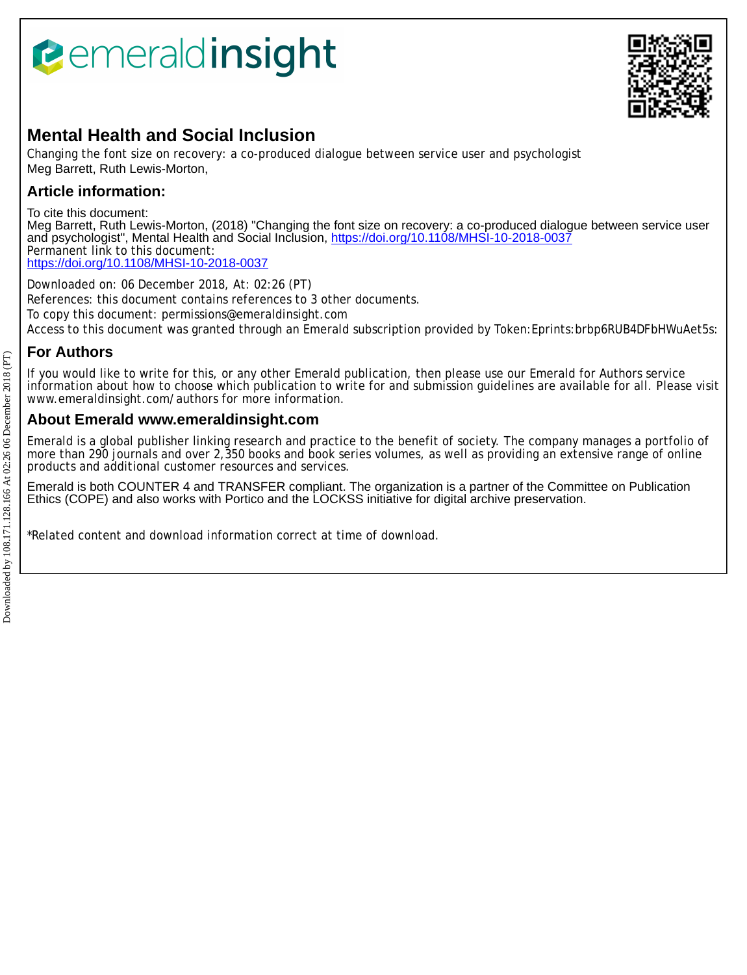# *<u><b>Pemeraldinsight</u>*



## **Mental Health and Social Inclusion**

Changing the font size on recovery: a co-produced dialogue between service user and psychologist Meg Barrett, Ruth Lewis-Morton,

## **Article information:**

To cite this document:

Meg Barrett, Ruth Lewis-Morton, (2018) "Changing the font size on recovery: a co-produced dialogue between service user and psychologist", Mental Health and Social Inclusion, <https://doi.org/10.1108/MHSI-10-2018-0037> Permanent link to this document: <https://doi.org/10.1108/MHSI-10-2018-0037>

Downloaded on: 06 December 2018, At: 02:26 (PT) References: this document contains references to 3 other documents. To copy this document: permissions@emeraldinsight.com Access to this document was granted through an Emerald subscription provided by Token:Eprints:brbp6RUB4DFbHWuAet5s:

## **For Authors**

If you would like to write for this, or any other Emerald publication, then please use our Emerald for Authors service information about how to choose which publication to write for and submission guidelines are available for all. Please visit www.emeraldinsight.com/authors for more information.

### **About Emerald www.emeraldinsight.com**

Emerald is a global publisher linking research and practice to the benefit of society. The company manages a portfolio of more than 290 journals and over 2,350 books and book series volumes, as well as providing an extensive range of online products and additional customer resources and services.

Emerald is both COUNTER 4 and TRANSFER compliant. The organization is a partner of the Committee on Publication Ethics (COPE) and also works with Portico and the LOCKSS initiative for digital archive preservation.

\*Related content and download information correct at time of download.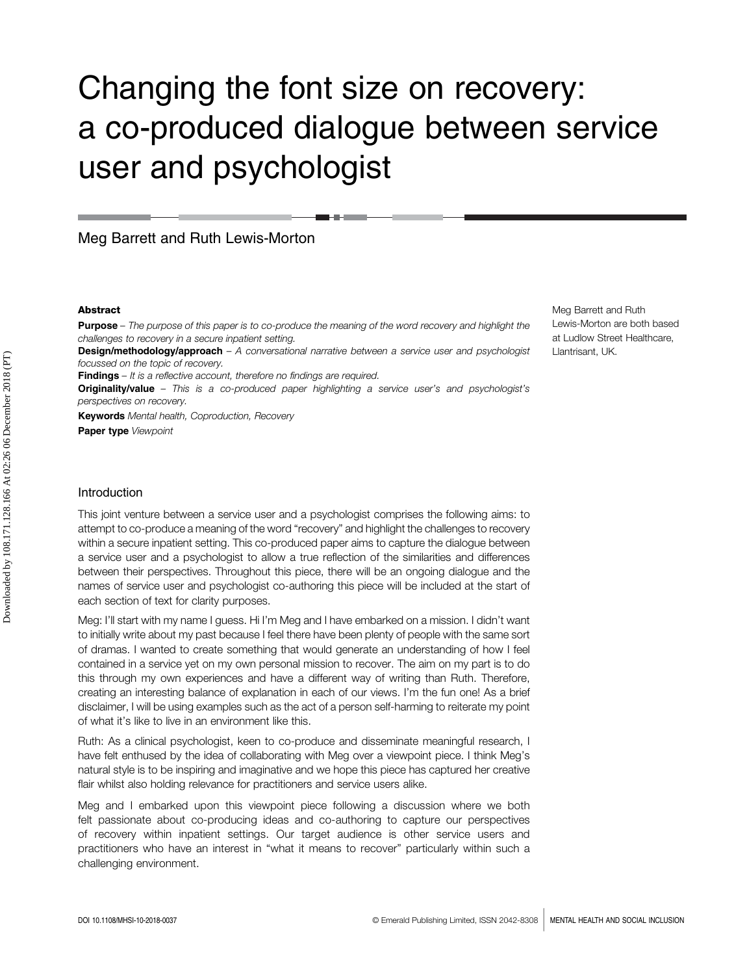## Changing the font size on recovery: a co-produced dialogue between service user and psychologist

Meg Barrett and Ruth Lewis-Morton

#### Abstract

**Purpose** – The purpose of this paper is to co-produce the meaning of the word recovery and highlight the challenges to recovery in a secure inpatient setting.

Design/methodology/approach - A conversational narrative between a service user and psychologist focussed on the topic of recovery.

**Findings** – It is a reflective account, therefore no findings are required.

**Originality/value** – This is a co-produced paper highlighting a service user's and psychologist's perspectives on recovery.

**Keywords** Mental health, Coproduction, Recovery

Paper type Viewpoint

#### Introduction

This joint venture between a service user and a psychologist comprises the following aims: to attempt to co-produce a meaning of the word "recovery" and highlight the challenges to recovery within a secure inpatient setting. This co-produced paper aims to capture the dialogue between a service user and a psychologist to allow a true reflection of the similarities and differences between their perspectives. Throughout this piece, there will be an ongoing dialogue and the names of service user and psychologist co-authoring this piece will be included at the start of each section of text for clarity purposes.

Meg: I'll start with my name I guess. Hi I'm Meg and I have embarked on a mission. I didn't want to initially write about my past because I feel there have been plenty of people with the same sort of dramas. I wanted to create something that would generate an understanding of how I feel contained in a service yet on my own personal mission to recover. The aim on my part is to do this through my own experiences and have a different way of writing than Ruth. Therefore, creating an interesting balance of explanation in each of our views. I'm the fun one! As a brief disclaimer, I will be using examples such as the act of a person self-harming to reiterate my point of what it's like to live in an environment like this.

Ruth: As a clinical psychologist, keen to co-produce and disseminate meaningful research, I have felt enthused by the idea of collaborating with Meg over a viewpoint piece. I think Meg's natural style is to be inspiring and imaginative and we hope this piece has captured her creative flair whilst also holding relevance for practitioners and service users alike.

Meg and I embarked upon this viewpoint piece following a discussion where we both felt passionate about co-producing ideas and co-authoring to capture our perspectives of recovery within inpatient settings. Our target audience is other service users and practitioners who have an interest in "what it means to recover" particularly within such a challenging environment.

Meg Barrett and Ruth Lewis-Morton are both based at Ludlow Street Healthcare, Llantrisant, UK.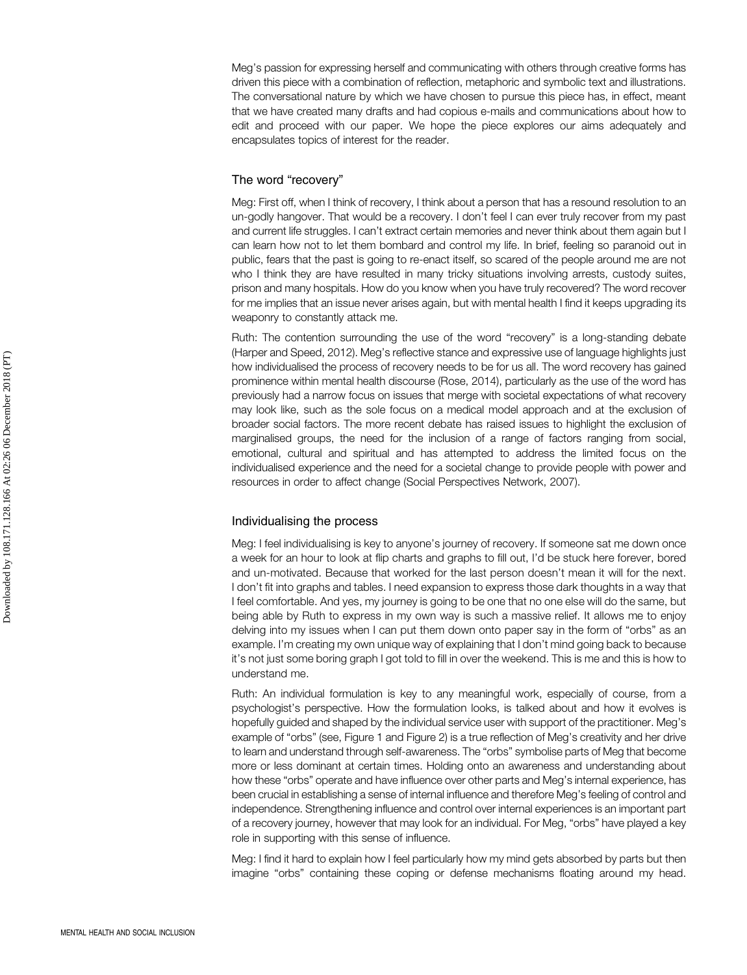Meg's passion for expressing herself and communicating with others through creative forms has driven this piece with a combination of reflection, metaphoric and symbolic text and illustrations. The conversational nature by which we have chosen to pursue this piece has, in effect, meant that we have created many drafts and had copious e-mails and communications about how to edit and proceed with our paper. We hope the piece explores our aims adequately and encapsulates topics of interest for the reader.

#### The word "recovery"

Meg: First off, when I think of recovery, I think about a person that has a resound resolution to an un-godly hangover. That would be a recovery. I don't feel I can ever truly recover from my past and current life struggles. I can't extract certain memories and never think about them again but I can learn how not to let them bombard and control my life. In brief, feeling so paranoid out in public, fears that the past is going to re-enact itself, so scared of the people around me are not who I think they are have resulted in many tricky situations involving arrests, custody suites, prison and many hospitals. How do you know when you have truly recovered? The word recover for me implies that an issue never arises again, but with mental health I find it keeps upgrading its weaponry to constantly attack me.

Ruth: The contention surrounding the use of the word "recovery" is a long-standing debate (Harper and Speed, 2012). Meg's reflective stance and expressive use of language highlights just how individualised the process of recovery needs to be for us all. The word recovery has gained prominence within mental health discourse (Rose, 2014), particularly as the use of the word has previously had a narrow focus on issues that merge with societal expectations of what recovery may look like, such as the sole focus on a medical model approach and at the exclusion of broader social factors. The more recent debate has raised issues to highlight the exclusion of marginalised groups, the need for the inclusion of a range of factors ranging from social, emotional, cultural and spiritual and has attempted to address the limited focus on the individualised experience and the need for a societal change to provide people with power and resources in order to affect change (Social Perspectives Network, 2007).

#### Individualising the process

Meg: I feel individualising is key to anyone's journey of recovery. If someone sat me down once a week for an hour to look at flip charts and graphs to fill out, I'd be stuck here forever, bored and un-motivated. Because that worked for the last person doesn't mean it will for the next. I don't fit into graphs and tables. I need expansion to express those dark thoughts in a way that I feel comfortable. And yes, my journey is going to be one that no one else will do the same, but being able by Ruth to express in my own way is such a massive relief. It allows me to enjoy delving into my issues when I can put them down onto paper say in the form of "orbs" as an example. I'm creating my own unique way of explaining that I don't mind going back to because it's not just some boring graph I got told to fill in over the weekend. This is me and this is how to understand me.

Ruth: An individual formulation is key to any meaningful work, especially of course, from a psychologist's perspective. How the formulation looks, is talked about and how it evolves is hopefully guided and shaped by the individual service user with support of the practitioner. Meg's example of "orbs" (see, Figure 1 and Figure 2) is a true reflection of Meg's creativity and her drive to learn and understand through self-awareness. The "orbs" symbolise parts of Meg that become more or less dominant at certain times. Holding onto an awareness and understanding about how these "orbs" operate and have influence over other parts and Meg's internal experience, has been crucial in establishing a sense of internal influence and therefore Meg's feeling of control and independence. Strengthening influence and control over internal experiences is an important part of a recovery journey, however that may look for an individual. For Meg, "orbs" have played a key role in supporting with this sense of influence.

Meg: I find it hard to explain how I feel particularly how my mind gets absorbed by parts but then imagine "orbs" containing these coping or defense mechanisms floating around my head.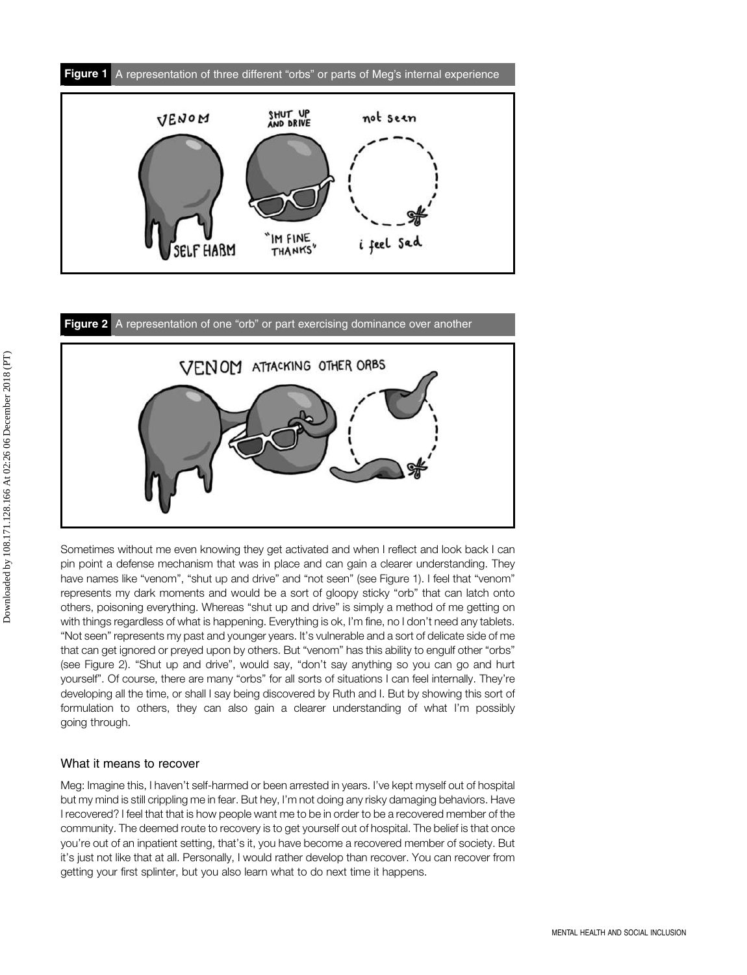



Sometimes without me even knowing they get activated and when I reflect and look back I can pin point a defense mechanism that was in place and can gain a clearer understanding. They have names like "venom", "shut up and drive" and "not seen" (see Figure 1). I feel that "venom" represents my dark moments and would be a sort of gloopy sticky "orb" that can latch onto others, poisoning everything. Whereas "shut up and drive" is simply a method of me getting on with things regardless of what is happening. Everything is ok, I'm fine, no I don't need any tablets. "Not seen" represents my past and younger years. It's vulnerable and a sort of delicate side of me that can get ignored or preyed upon by others. But "venom" has this ability to engulf other "orbs" (see Figure 2). "Shut up and drive", would say, "don't say anything so you can go and hurt yourself". Of course, there are many "orbs" for all sorts of situations I can feel internally. They're developing all the time, or shall I say being discovered by Ruth and I. But by showing this sort of formulation to others, they can also gain a clearer understanding of what I'm possibly going through.

#### What it means to recover

Meg: Imagine this, I haven't self-harmed or been arrested in years. I've kept myself out of hospital but my mind is still crippling me in fear. But hey, I'm not doing any risky damaging behaviors. Have I recovered? I feel that that is how people want me to be in order to be a recovered member of the community. The deemed route to recovery is to get yourself out of hospital. The belief is that once you're out of an inpatient setting, that's it, you have become a recovered member of society. But it's just not like that at all. Personally, I would rather develop than recover. You can recover from getting your first splinter, but you also learn what to do next time it happens.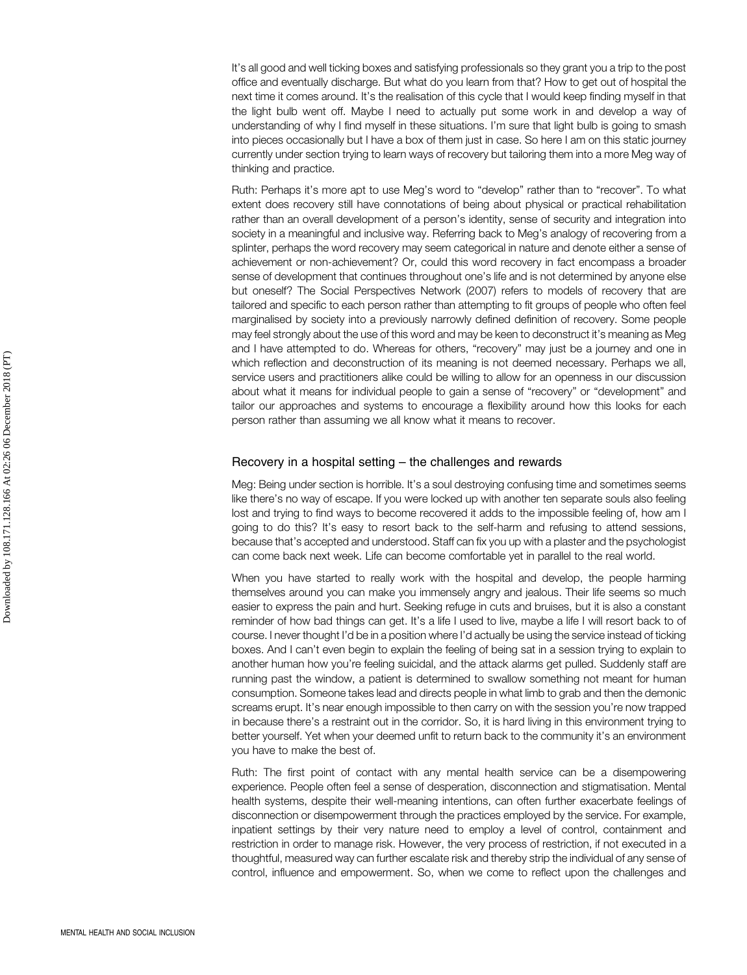It's all good and well ticking boxes and satisfying professionals so they grant you a trip to the post office and eventually discharge. But what do you learn from that? How to get out of hospital the next time it comes around. It's the realisation of this cycle that I would keep finding myself in that the light bulb went off. Maybe I need to actually put some work in and develop a way of understanding of why I find myself in these situations. I'm sure that light bulb is going to smash into pieces occasionally but I have a box of them just in case. So here I am on this static journey currently under section trying to learn ways of recovery but tailoring them into a more Meg way of thinking and practice.

Ruth: Perhaps it's more apt to use Meg's word to "develop" rather than to "recover". To what extent does recovery still have connotations of being about physical or practical rehabilitation rather than an overall development of a person's identity, sense of security and integration into society in a meaningful and inclusive way. Referring back to Meg's analogy of recovering from a splinter, perhaps the word recovery may seem categorical in nature and denote either a sense of achievement or non-achievement? Or, could this word recovery in fact encompass a broader sense of development that continues throughout one's life and is not determined by anyone else but oneself? The Social Perspectives Network (2007) refers to models of recovery that are tailored and specific to each person rather than attempting to fit groups of people who often feel marginalised by society into a previously narrowly defined definition of recovery. Some people may feel strongly about the use of this word and may be keen to deconstruct it's meaning as Meg and I have attempted to do. Whereas for others, "recovery" may just be a journey and one in which reflection and deconstruction of its meaning is not deemed necessary. Perhaps we all, service users and practitioners alike could be willing to allow for an openness in our discussion about what it means for individual people to gain a sense of "recovery" or "development" and tailor our approaches and systems to encourage a flexibility around how this looks for each person rather than assuming we all know what it means to recover.

#### Recovery in a hospital setting – the challenges and rewards

Meg: Being under section is horrible. It's a soul destroying confusing time and sometimes seems like there's no way of escape. If you were locked up with another ten separate souls also feeling lost and trying to find ways to become recovered it adds to the impossible feeling of, how am I going to do this? It's easy to resort back to the self-harm and refusing to attend sessions, because that's accepted and understood. Staff can fix you up with a plaster and the psychologist can come back next week. Life can become comfortable yet in parallel to the real world.

When you have started to really work with the hospital and develop, the people harming themselves around you can make you immensely angry and jealous. Their life seems so much easier to express the pain and hurt. Seeking refuge in cuts and bruises, but it is also a constant reminder of how bad things can get. It's a life I used to live, maybe a life I will resort back to of course. I never thought I'd be in a position where I'd actually be using the service instead of ticking boxes. And I can't even begin to explain the feeling of being sat in a session trying to explain to another human how you're feeling suicidal, and the attack alarms get pulled. Suddenly staff are running past the window, a patient is determined to swallow something not meant for human consumption. Someone takes lead and directs people in what limb to grab and then the demonic screams erupt. It's near enough impossible to then carry on with the session you're now trapped in because there's a restraint out in the corridor. So, it is hard living in this environment trying to better yourself. Yet when your deemed unfit to return back to the community it's an environment you have to make the best of.

Ruth: The first point of contact with any mental health service can be a disempowering experience. People often feel a sense of desperation, disconnection and stigmatisation. Mental health systems, despite their well-meaning intentions, can often further exacerbate feelings of disconnection or disempowerment through the practices employed by the service. For example, inpatient settings by their very nature need to employ a level of control, containment and restriction in order to manage risk. However, the very process of restriction, if not executed in a thoughtful, measured way can further escalate risk and thereby strip the individual of any sense of control, influence and empowerment. So, when we come to reflect upon the challenges and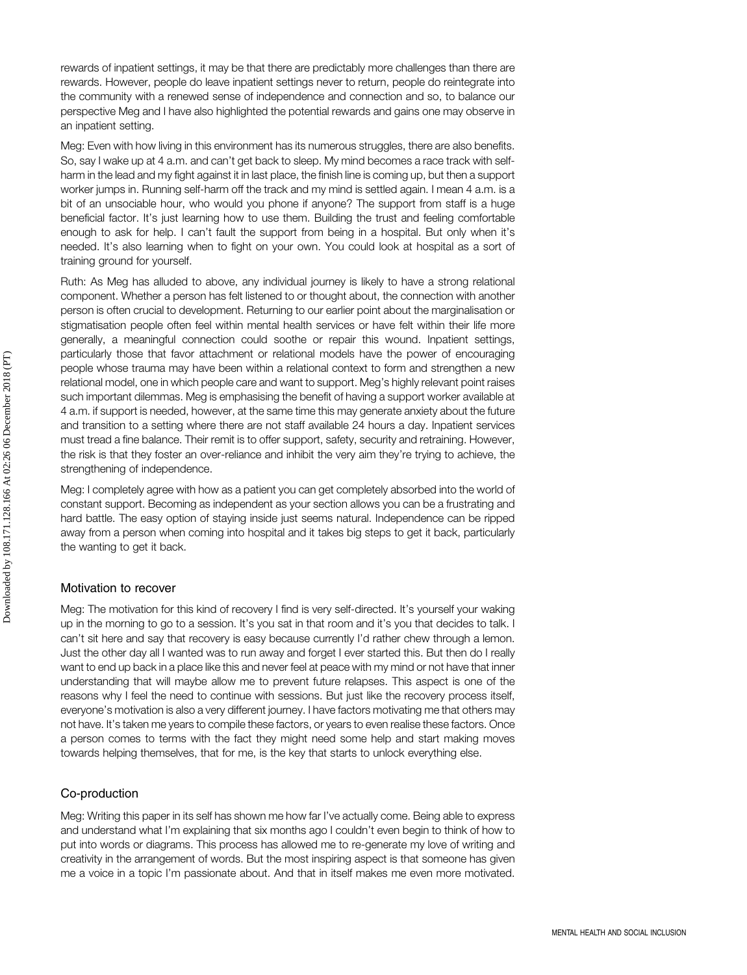rewards of inpatient settings, it may be that there are predictably more challenges than there are rewards. However, people do leave inpatient settings never to return, people do reintegrate into the community with a renewed sense of independence and connection and so, to balance our perspective Meg and I have also highlighted the potential rewards and gains one may observe in an inpatient setting.

Meg: Even with how living in this environment has its numerous struggles, there are also benefits. So, say I wake up at 4 a.m. and can't get back to sleep. My mind becomes a race track with selfharm in the lead and my fight against it in last place, the finish line is coming up, but then a support worker jumps in. Running self-harm off the track and my mind is settled again. I mean 4 a.m. is a bit of an unsociable hour, who would you phone if anyone? The support from staff is a huge beneficial factor. It's just learning how to use them. Building the trust and feeling comfortable enough to ask for help. I can't fault the support from being in a hospital. But only when it's needed. It's also learning when to fight on your own. You could look at hospital as a sort of training ground for yourself.

Ruth: As Meg has alluded to above, any individual journey is likely to have a strong relational component. Whether a person has felt listened to or thought about, the connection with another person is often crucial to development. Returning to our earlier point about the marginalisation or stigmatisation people often feel within mental health services or have felt within their life more generally, a meaningful connection could soothe or repair this wound. Inpatient settings, particularly those that favor attachment or relational models have the power of encouraging people whose trauma may have been within a relational context to form and strengthen a new relational model, one in which people care and want to support. Meg's highly relevant point raises such important dilemmas. Meg is emphasising the benefit of having a support worker available at 4 a.m. if support is needed, however, at the same time this may generate anxiety about the future and transition to a setting where there are not staff available 24 hours a day. Inpatient services must tread a fine balance. Their remit is to offer support, safety, security and retraining. However, the risk is that they foster an over-reliance and inhibit the very aim they're trying to achieve, the strengthening of independence.

Meg: I completely agree with how as a patient you can get completely absorbed into the world of constant support. Becoming as independent as your section allows you can be a frustrating and hard battle. The easy option of staying inside just seems natural. Independence can be ripped away from a person when coming into hospital and it takes big steps to get it back, particularly the wanting to get it back.

#### Motivation to recover

Meg: The motivation for this kind of recovery I find is very self-directed. It's yourself your waking up in the morning to go to a session. It's you sat in that room and it's you that decides to talk. I can't sit here and say that recovery is easy because currently I'd rather chew through a lemon. Just the other day all I wanted was to run away and forget I ever started this. But then do I really want to end up back in a place like this and never feel at peace with my mind or not have that inner understanding that will maybe allow me to prevent future relapses. This aspect is one of the reasons why I feel the need to continue with sessions. But just like the recovery process itself, everyone's motivation is also a very different journey. I have factors motivating me that others may not have. It's taken me years to compile these factors, or years to even realise these factors. Once a person comes to terms with the fact they might need some help and start making moves towards helping themselves, that for me, is the key that starts to unlock everything else.

#### Co-production

Meg: Writing this paper in its self has shown me how far I've actually come. Being able to express and understand what I'm explaining that six months ago I couldn't even begin to think of how to put into words or diagrams. This process has allowed me to re-generate my love of writing and creativity in the arrangement of words. But the most inspiring aspect is that someone has given me a voice in a topic I'm passionate about. And that in itself makes me even more motivated.